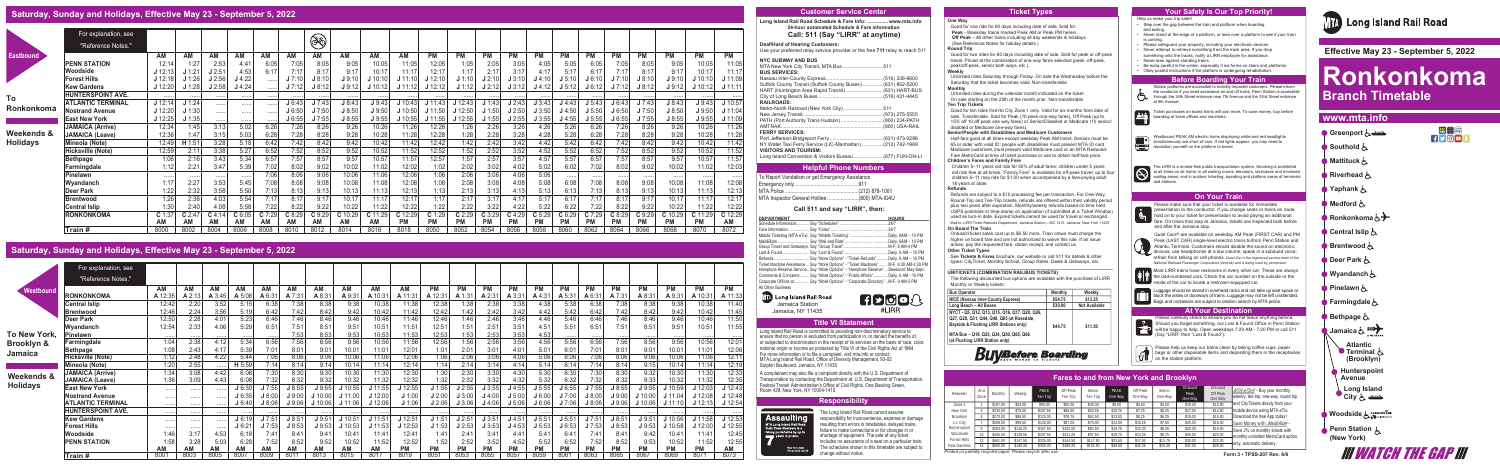### **One Way**

Good for one ride for 60 days including date of sale. Sold for: **Peak** - Weekday trains marked Peak AM or Peak PM herein.  **Off Peak** – All other trains including all day weekends & holidays. (See Reference Notes for holiday details.)

### **Round Trip**

Good for two rides for 60 days including date of sale. Sold for peak or off-peak travel. Priced at the combination of one way fares selected (peak, off-peak, peak/off-peak, senior both ways, etc.).

### **Weekly**

Unlimited rides Saturday through Friday. On sale the Wednesday before the Saturday that the ticket becomes valid. Non-transferable. **Monthly**

Unlimited rides during the calendar month indicated on the ticket. On sale starting on the 25th of the month prior. Non-transferable. **Ten Trip Tickets**

Children 5–11 years old ride for 50% of adult fares; children under 5 years old ride free at all times. "Family Fare" is available for off-peak travel; up to four children 5–11 may ride for \$1.00 when accompanied by a fare-paying adult 18 years or older.

Good for ten rides from/to City Zone 1 only. Valid for six months from date of

sale. Transferable. Sold for Peak (10 peak one-way fares), Off Peak (up to 15% off 10 off peak one way fares) or Senior/Disabled or Medicare (10 senior/ disabled or Medicare one-way fares).

### **Senior/People with Disabilities and Medicare Customers**

Half-fare good at all times except weekday Peak AM trains. Seniors must be 65 or older with valid ID; people with disabilities must present MTA ID card. Medicare customers must present valid Medicare card or an MTA Reduced-Fare MetroCard at time of ticket purchase or use to obtain half-fare price.

### **Children's Fares and Family Fare**

**Refunds**

Refunds are subject to a \$10 processing fee per transaction. For One-Way, Round-Trip and Ten-Trip tickets, refunds are offered within their validity period plus two years after expiration. Monthly/weekly refunds based on time held. USPS postmark or time-stamp on application (if submitted at a Ticket Window) used as turn-in date. Expired tickets cannot be used for travel or exchanged. Mail to: LIRR Ticket Refunds Department, Jamaica Station – MC 1410, Jamaica, New York 11435 **On Board The Train**

> Luggage should be stored in overhead racks and not take up seat space or block the aisles or doorways of trains. Luggage may not be left unattended. Bags and containers are subject to random search by MTA police.

Onboard ticket sales cost up to \$6.50 more. Train crews must charge the higher on board fare and are not authorized to waive this rule. If an issue arises, pay the requested fare, obtain receipt, and contact us.

### **Other Ticket Types**

See **Tickets & Fares** brochure, our website or call 511 for details & other types: CityTicket, Monthly School, Group Rates, Deals & Getaways, etc.

### **\_\_\_\_\_\_\_\_\_\_\_\_\_\_\_\_\_\_\_\_\_\_\_\_\_\_\_\_\_\_\_\_\_\_\_\_\_\_\_\_\_\_\_\_\_\_\_\_\_\_\_\_\_\_\_\_\_\_\_\_\_\_\_ UNITICKETS (COMBINATION RAIL/BUS TICKETS)**

Westbound PEAK AM electric trains displaying white and red headlights simultaneously are short of cars. If red lights appear, you may need to reposition yourself on the platform to board

The LIRR is a smoke-free public transportation system. Smoking is prohibited<br>at all times on all trains; in all waiting rooms, elevators, staircases and enclosed<br>waiting areas; and in outdoor ticketing, boarding and platfo

The following discounted bus options are available with the purchase of LIRR Monthly or Weekly tickets:

> Please carefully check to ensure you do not leave anything behind. **Participals Contribution in Contract of Contract Contract Contract Server Station**<br> **Participals Should you forget something, our Lost & Found Office in Penn Station** will be happy to help. Open weekdays 7:20 AM - 7:20 PM or call 511 Say "LIRR" then "Lost & Found").

| <b>Bus Operator</b>                                                                                                                   | <b>Monthly</b> | Weekly               |
|---------------------------------------------------------------------------------------------------------------------------------------|----------------|----------------------|
| NICE (Nassau Inter-County Express)                                                                                                    | \$54.75        | \$13.25              |
| Long Beach - All Buses                                                                                                                | \$30.00        | <b>Not Available</b> |
| NYCT - Q5, Q12, Q13, Q15, Q16, Q17, Q20, Q26,<br>Q27, Q28, Q31, Q44, Q48, Q85 (at Rosedale,<br>Bayside & Flushing LIRR Stations only) | \$44.75        | \$11.50              |
| MTA Bus - Q19, Q25, Q34, Q50, Q65, Q66<br>(at Flushing LIRR Station only)                                                             |                |                      |

# **Buy Before Boarding**

 $\bullet$  Please help us keep our trains clean by taking coffee cups, paper bags or other disposable items and depositing them in the receptacles on the station platform.

*Printed on partially recycled paper. Please recycle after use.*

Please make sure that your ticket is available for immediate presentation to the conductor. If you change seats or trains en route, hold on to your ticket for presentation to avoid paying an additional fare. On trains that stop at Jamaica, tickets are inspected both before and after the Jamaica stop.

Quiet Cars® are available on weekday AM Peak (FIRST CAR) and PM Peak (LAST CAR) single-level electric trains to/from Penn Station and Atlantic Terminal. Customers should disable the sound on electronic devices; use headphones at a low volume; speak in a subdued voice; refrain from talking on cell phones. *Quiet Car is the registered service mark of the National Railroad Passenger Corporation (Amtrak) and is being used by permission.*

Help us make your trip safer! • Step over the gap between the train and platform when boarding

- and exiting. • Never stand at the edge of a platform, or lean over a platform to see if your train is coming.
- Please safequard your property, including your electronic devices.
- Never attempt to retrieve something from the track area. If you drop something onto the tracks, notify a LIRR employee for assistance.
- Never lean against standing trains.
- Be extra careful in the winter, especially if ice forms on stairs and platforms. • Obey posted instructions if the platform is undergoing rehabilitation.

# **Before Boarding Your Train**



Station platforms are accessible to mobility-impaired customers. Please inform the conductor if you need assistance on and off trains. Penn Station is accessible through the 34th Street entrance near 7th Avenue and the 33rd Street entrance at 8th Avenue.



 **Effective May 23 - September 5, 2022**

# **Ronkonkoma Branch Timetable**

**III WATCH THE GAP III** 

# **www.mta.info**

# **Saturday, Sunday and Holidays, Effective May 23 - September 5, 2022**

# **Saturday, Sunday and Holidays, Effective May 23 - September 5, 2022**

**MM** Long Island Rail Road Jamaica Station Jamaica, NY 11435

|                       | For explanation, see     |         |        |        |           |           |        |         |           |         |           |           |           |           |           |           |           |           |           |           |           |           |           |
|-----------------------|--------------------------|---------|--------|--------|-----------|-----------|--------|---------|-----------|---------|-----------|-----------|-----------|-----------|-----------|-----------|-----------|-----------|-----------|-----------|-----------|-----------|-----------|
|                       | "Reference Notes."       |         |        |        |           |           |        |         |           |         |           |           |           |           |           |           |           |           |           |           |           |           |           |
| Westbound             |                          | AM      | AM     | АM     | AM        | AM        | AM     | AM      | <b>AM</b> | ΑM      | AM        | <b>PM</b> | PM        | <b>PM</b> | <b>PM</b> | <b>PM</b> | <b>PM</b> | <b>PM</b> | <b>PM</b> | <b>PM</b> | <b>PM</b> | <b>PM</b> | <b>PM</b> |
|                       | RONKONKOMA               | A 12:35 | . 2:13 | A 3:45 | A 5:08    | A 6:31    | A 7:31 | A 8:3'  | A 9:31    | A 10:31 | A 11:31   | A 12:31   | A 1:3'    | A 2:31    | A 3:31    | A 4:31    | A 5:31    | A6:3      | A 7:3'    | A 8:31    | A 9:31    | A 10:31   | A 11:33   |
|                       | Central Islip            | 12:42   | 2:20   | 3:52   | 5:15      | 6:38      | 7:38   | 8:38    | 9:38      | 10:38   | 11:38     | 12:38     | 1:38      | 2:38      | 3:38      | 4:38      | 5:38      | 6:38      | 7:38      | 8:38      | 9:38      | 10:38     | 11:40     |
|                       | <b>IBrentwood</b>        | 12:46   | 2:24   | 3:56   | 5:19      | 6:42      | 7:42   | 8:42    | 9:42      | 10:42   | 11:42     | 12:42     | 1:42      | 2:42      | 3:42      | 4:42      | 5:42      | 6:42      | 7:42      | 8:42      | 9:42      | 10:42     | 11:45     |
|                       | Deer Park                | 12:50   | 2:28   | 4:01   | 5:23      | 6:46      | 7:46   | 8:46    | 9:46      | 10:46   | 11:46     | 12:46     | 1:46      | 2:46      | 3:46      | 4:46      | 5:46      | 6:46      | 7:46      | 8:46      | 9:46      | 10:46     | 11:50     |
|                       | <b>Wvandanch</b>         | 12:54   | 2:33   | 4:06   | 5:29      | 6:51      | 7:51   | 8:51    | 9:51      | 10:51   | 11:51     | 12:51     | 1:51      | 2:51      | 3:51      | 4:51      | 5:51      | 6:51      | 7:51      | 8:51      | 9:51      | 10:51     | 11:55     |
| To New York,          | Pinelawn                 | .       |        | .      |           | .         | 7:53   | 8:53    | 9:53      | 10:53   | 11:53     | 12:53     | 1:53      | 2:53      | 3:53      | 4:53      |           | .         |           |           |           | .         | . 1       |
| Brooklyn &            | Farmingdale              | 1:04    | 2:38   | 4:12   | 5:34      | 6:56      | 7:56   | 8:56    | 9:56      | 10:56   | 11:56     | 12:56     | 1:56      | 2:56      | 3:56      | 4:56      | 5:56      | 6:56      | 7:56      | 8:56      | 9:56      | 10:56     | 12:01     |
| Jamaica               | <b>Bethpage</b>          | 1:08    | 2:43   | 4:17   | 5:39      | 7:01      | 8:01   | 9:01    | 10:01     | 11:01   | 12:01     | 1:01      | 2:01      | 3:01      | 4:01      | 5:01      | 6:01      | 7:01      | 8:01      | 9:01      | 10:01     | 11:01     | 12:06     |
|                       | Hicksville (Note)        | 1:12    | 2:48   | 4:22   | 5:44      | 7:06      | 8:06   | 9:06    | 10:06     | 11:06   | 12:06     | 1:06      | 2:06      | 3:06      | 4:06      | 5:06      | 6:06      | 7:06      | 8:06      | 9:06      | 10:06     | 11:06     | 12:11     |
|                       | Mineola (Note)           | 1:20    | 2:55   | .      | H 5:59    | 7:14      | 8:14   | 9:14    | 10:14     | 11:14   | 12:14     | 1:14      | 2:14      | 3:14      | 4:14      | 5:14      | 6:14      | 7:14      | 8:14      | 9:15      | 10:14     | 11:14     | 12:19     |
| <b>Weekends &amp;</b> | <b>JAMAICA (Arrive)</b>  | 1:34    | 3:08   | 4:42   | 6:06      | 7:30      | 8:30   | 9:30    | 10:30     | 11:30   | 12:30     | 1:30      | 2:30      | 3:30      | 4:30      | 5:30      | 6:30      | 7:30      | 8:30      | 9:32      | 10:30     | 11:30     | 12:33     |
|                       | <b>JAMAICA (Leave)</b>   | 1:36    | 3:09   | 4:43   | 6:08      | 7:32      | 8:32   | 9:32    | 10:32     | 11:32   | 12:32     | 1:32      | 2:32      | 3:32      | 4:32      | 5:32      | 6:32      | 7:32      | 8:32      | 9:33      | 10:32     | 11:32     | 12:35     |
| <b>Holidays</b>       | <b>East New York</b>     |         |        | .      | J 6:30    | 7:55      | J 8:55 | J9:55   | 10:55     | J 11:55 | 12:55     | J 1:55    | J2:55     | J3:55     | $J$ 4:55  | J 5:55    | 16:55     | J7:55     | J 8:55    | J9:55     | J 10:59   | J 12:03   | J 12:43   |
|                       | Nostrand Avenue          |         |        | .      | J 6:35    | J 8:00    | J9:00  | J 10:00 | $J$ 11:00 | J 12:00 | J 1:00    | J 2:00    | J3:00     | J4:00     | J 5:00    | J 6:00    | J7:00     | J 8:00    | $J$ 9:00  | J 10:00   | J 11:04   | J 12:08   | J 12:48   |
|                       | <b>ATLANTIC TERMINAL</b> | .       | .      | .      | J 6:40    | J 8:06    | J9:06  | J 10:06 | $J$ 11:06 | J 12:06 | J 1:06    | J2:06     | J3:06     | $J$ 4:06  | J 5:06    | J 6:06    | J7:06     | J 8:06    | J 9:06    | J 10:06   | $J$ 11:10 | J 12:13   | J 12:54   |
|                       | <b>HUNTERSPOINT AVE.</b> | .       |        | .      |           | .         | .      | .       | .         | .       |           |           |           |           |           |           |           | .         |           |           |           |           |           |
|                       | <b>Kew Gardens</b>       |         |        |        | J 6:19    | J7:51     | J 8:5  | J9:51   | $J$ 10:51 | J 11:51 | J 12:51   | J 1:51    | J2:51     | J3:51     | $J$ 4:51  | J 5:51    | J6:51     | J7:5'     | J 8:51    | J9:51     | J 10:56   | $J$ 11:58 | J 12:53   |
|                       | <b>Forest Hills</b>      |         |        | .      | J 6:21    | J7:53     | J8:53  | J9:53   | J 10:53   | J 11:53 | $J$ 12:53 | $J$ 1:53  | J2:53     | J3:53     | J4:53     | J 5:53    | J 6:53    | J7:53     | J 8:53    | J9:53     | J 10:58   | J 12:00   | J 12:55   |
|                       | Woodside                 | 1:46    | 3:17   | 4:53   | 6:18      | 7:41      | 8:41   | 9:4'    | 10:41     | 11:41   | 12:41     | 1:41      | 2:41      | 3:41      | 4:41      | 5:41      | 6:41      | 7:4'      | 8:41      | 9:42      | 10:4'     | 11:41     | 12:45     |
|                       | <b>PENN STATION</b>      | 1:58    | 3:28   | 5:03   | 6:28      | 7:52      | 8:52   | 9:52    | 10:52     | 11:52   | 12:52     | 1:52      | 2:52      | 3:52      | 4:52      | 5:52      | 6:52      | 7:52      | 8:52      | 9:53      | 10:52     | 11:52     | 12:55     |
|                       |                          | AM      | ΑM     | AM     | <b>AM</b> | <b>AM</b> | AM     | AM      | <b>AM</b> | ΑM      | РM        | <b>PM</b> | <b>PM</b> | <b>PM</b> | <b>PM</b> | <b>PM</b> | <b>PM</b> | <b>PM</b> | <b>PM</b> | <b>PM</b> | <b>PM</b> | <b>PM</b> | AM        |
|                       | Train #                  | 8001    | 8003   | 8005   | 8007      | 8009      | 8011   | 8013    | 8015      | 8017    | 8019      | 8051      | 8053      | 8055      | 8057      | 8059      | 8061      | 8063      | 8065      | 8067      | 8069      | 8071      | 8073      |

|                                                                                      |             |          |          |                  |                      |                    |                 | <b>Fares to and from New York and Brooklyn</b> |                   |                            |                                |                                                                                                   |
|--------------------------------------------------------------------------------------|-------------|----------|----------|------------------|----------------------|--------------------|-----------------|------------------------------------------------|-------------------|----------------------------|--------------------------------|---------------------------------------------------------------------------------------------------|
| Between                                                                              | And<br>Zone | Monthly  | Weekly   | PFAK<br>Ten Trip | Off-Peak<br>Ten Trip | Senior<br>Ten Trip | PFAK<br>One Way | Off Peak<br>One Wav                            | Senior<br>One Way | Onboard<br>Peak<br>One Way | Onboard<br>Off Peak<br>One Way | $MTA$ $e^{T}$ <i>ix</i> <sup>®</sup> - Buy your monthly,<br>weekly, ten-trip, one-way, round trip |
| Zone 1                                                                               |             | \$197.00 | \$63.00  | \$90.00          | \$55.25              | \$45.00            | \$9.00          | \$6.50                                         | \$4.50            | \$15.00                    | \$13.00                        | and CityTickets direcly from your                                                                 |
| New York                                                                             |             | \$234.00 | \$75.00  | \$107.50         | \$66.00              | \$52.50            | \$10.75         | \$7.75                                         | \$5.25            | \$17.00                    | \$14.00                        | mobile device using MTA eTix.                                                                     |
| Brooklyn                                                                             |             | \$270.00 | \$86.50  | \$125.00         | \$78.75              | \$62.50            | \$12.50         | \$9.25                                         | \$6.25            | \$19.00                    | \$15.00                        | Download the free App today!                                                                      |
| L.I. City                                                                            |             | \$308.00 | \$98.50  | \$140.00         | \$87.25              | \$70.00            | \$14.00         | \$10.25                                        | \$7.00            | \$20.00                    | \$16.00                        | Save Money with Mail&Ride -                                                                       |
| Hunterspoint                                                                         |             | \$363.00 | \$116.25 | \$167.50         | \$102.00             | \$82.50            | \$16.75         | \$12.00                                        | \$8.25            | \$23.00                    | \$18.00                        | Save 2% on monthly tickets with                                                                   |
| Woodside                                                                             |             | \$405.00 | \$129.50 | \$197.50         | \$121.25             | \$97.50            | \$19.75         | \$14.25                                        | \$9.75            | \$26.00                    | \$20.00                        | monthly unlimited MetroCard option                                                                |
| Forest Hills                                                                         |             | \$461.00 | \$147.50 | \$235.00         | \$144.50             | \$117.50           | \$23.50         | \$17.00                                        | \$11.75           | \$30.00                    | \$23.00                        |                                                                                                   |
| Kew Gardens<br>state d'escriptat de la constant service. Els est constant d'assister |             | \$500.00 | \$160.00 | \$305.00         | \$189.25             | \$152.50           | \$30.50         | \$22.25                                        | \$15.25           | \$37.00                    | \$28.00                        | only, automatic delivery.                                                                         |

|                  | For explanation, see     |           |        |           |          |       |        |           |         |           |           |                |          |           |           |           |           |           |           |           |           |         |                      | 24-hour automated Schedule & Fare information<br>Call: 511 (Say "LIRR" at anytime)                                        |
|------------------|--------------------------|-----------|--------|-----------|----------|-------|--------|-----------|---------|-----------|-----------|----------------|----------|-----------|-----------|-----------|-----------|-----------|-----------|-----------|-----------|---------|----------------------|---------------------------------------------------------------------------------------------------------------------------|
|                  | "Reference Notes."       |           |        |           |          |       |        | <b>DE</b> |         |           |           |                |          |           |           |           |           |           |           |           |           |         |                      | <b>Deaf/Hard of Hearing Customers:</b>                                                                                    |
| <b>Eastbound</b> |                          | <b>AM</b> | AM     | АM        | AM       | AM    | AM     | <b>AM</b> | АM      | AM        | AM        | PM             | PM       | PM        | <b>PM</b> | <b>PM</b> | <b>PM</b> | РM        | PM        | <b>PM</b> | <b>PM</b> | PM      | <b>PM</b>            | Use your preferred relay service provider or the free 711 relay to reach                                                  |
|                  | <b>PENN STATION</b>      | 12:14     | 1:27   | 2:53      | 4:41     | 6:05  | 7:05   | 8:05      | 9:05    | 10:05     | 11:05     | 12:05          | 1:05     | 2:05      | 3:05      | 4:05      | 5:05      | 6:05      | 7:05      | 8:05      | 9:05      | 10:05   | 11:05                | <b>NYC SUBWAY AND BUS</b><br>MTA New York City Transit, MTA Bus.<br>.511                                                  |
|                  | Woodside                 | J 12:13   |        | J2:51     | 4:53     | 6:17  | 7:17   | 8:17      | 9:17    | 10:17     | 11:17     | 12:17          | 1:17     | 2:17      | 3:17      | 4:17      | 5:17      | 6:17      | 7:17      | 8:17      | 9:17      | 10:17   | 11:17                | <b>BUS SERVICES:</b>                                                                                                      |
|                  | <b>Forest Hills</b>      | J 12:18   | 11.26  | J2:56     | $J$ 4:22 |       | J7:10  | J8:10     | J9:10   | $J$ 10:10 | J 11:10   | J 12:10        | J 1:10   | J 2:10    | J3:10     | $J$ 4:10  | J 5:10    | J 6:10    | J7:10     | J8:10     | J9:10     | J 10:10 | J 11:09              | $(516)$ 336-6600<br>Nassau Inter-County Express.                                                                          |
|                  | <b>Kew Gardens</b>       | J 12:20   | 1:28   | J2:58     | J4:24    | .     | J7:12  | J 8:12    | J9:12   | 10:12     | $J$ 11:12 | J 12:12        | J 1:12   | J 2:12    | J3:12     | J4:12     | J 5:12    | J6:12     | J7:12     | J 8:12    | J 9:12    | J 10:12 | $J$ 11:11            | (631) 852-5200<br>Suffolk County Transit (Suffolk County Buses).<br>HART (Huntington Area Rapid Transit)<br>(631) HART-BL |
|                  | HUNTERSPOINT AVE.        |           | .      | .         | .        | .     | .      | .         | .       | .         |           |                | .        |           |           | .         |           |           | .         |           |           | .       | .                    | (516) 431-4445<br>City of Long Beach Buses                                                                                |
|                  | <b>ATLANTIC TERMINAL</b> | J 12:14   | J 1:24 | .         |          |       | J6:43  | J7:43     | J 8:43  | J9:43     | J 10:43   | <b>J</b> 11:43 | J 12:43  | J 1:43    | J2:43     | J3:43     | J4:43     | J 5:43    | J 6:43    | J7:43     | J 8:43    | J9:43   | $\overline{J}$ 10:57 | <b>RAILROADS:</b>                                                                                                         |
| Ronkonkoma       | <b>Nostrand Avenue</b>   | J 12:20   | 11:30  | .         | .        |       | J6:50  | J7:50     | J 8:50  | J9:50     | J 10:50   | J 11:50        | J 12:50  | $J$ 1:50  | J 2:50    | J3:50     | J4:50     | J 5:50    | J 6:50    | J7:50     | J 8:50    | J9:50   | J 11:04              | Metro-North Railroad (New York City).<br>511                                                                              |
|                  | <b>East New York</b>     | J 12:25   | 1:35   |           |          |       | J 6:55 | J7:55     | J 8:55  | J9:55     | J 10:55   | 11:55          | J 12:55  | J 1:55    | J2:55     | J3:55     | J4:55     | J 5:55    | J 6:55    | J7:55     | J 8:55    | J9:55   | J 11:09              | (973) 275-5555<br>New Jersey Transit.<br>(800) 234-PATI<br>PATH (Port Authority Trans Hudson).                            |
|                  | <b>JAMAICA (Arrive)</b>  | 12:34     | 1:45   | 3:13      | <br>5:02 | 6:26  | 7:26   | 8:26      | 9:26    | 10:26     | 11:26     | 12:26          | 1:26     | 2:26      | 3:26      | 4:26      | 5:26      | 6:26      | 7:26      | 8:26      | 9:26      | 10:26   | 11:26                | .(800) USA-RAI<br>AMTRAK.                                                                                                 |
| Weekends &       | <b>JAMAICA (Leave)</b>   | 12:36     | 1:47   | 3:15      | 5:03     | 6:28  | 7:28   | 8:28      | 9:28    | 10:28     | 11:28     | 12:28          | 1:28     | 2:28      | 3:28      | 4:28      | 5:28      | 6:28      | 7:28      | 8:28      | 9:28      | 10:28   | 11:28                | <b>FERRY SERVICES:</b>                                                                                                    |
|                  |                          |           |        |           | 5:18     |       | 7:42   | 8:42      |         |           |           | 12:42          | 1:42     |           |           |           | 5:42      |           | 7:42      |           | 9:42      | 10:42   |                      | (631) 473-0286<br>Port Jefferson-Bridgeport Ferry                                                                         |
| Holidays         | Mineola (Note)           | 12:49     | 11:51  | 3:28      |          | 6:42  |        |           | 9:42    | 10:42     | 11:42     |                |          | 2:42      | 3:42      | 4:42      |           | 6:42      |           | 8:42      |           |         | 11:42                | NY Water Taxi Ferry Service (LIC-Manhattan)<br>(212) 742-1969<br><b>VISITORS AND TOURISM:</b>                             |
|                  | Hicksville (Note)        | 12:59     | 2:11   | 3:38      | 5:27     | 6:52  | 7:52   | 8:52      | 9:52    | 10:52     | 11:52     | 12:52          | 1:52     | 2:52      | 3:52      | 4:52      | 5:52      | 6:52      | 7:52      | 8:52      | 9:52      | 10:52   | 11:52                | (877) FUN-ON-<br>Long Island Convention & Visitors Bureau                                                                 |
|                  | <b>Bethpage</b>          | 1:06      | 2:16   | 3:43      | 5:34     | 6:57  |        | 8:57      | 9:57    | 10:57     | 11:57     | 12:57          | 1:57     | 2:57      | 3:57      | 4:57      | 5:57      | 6:57      | 7:57      | 8:57      | 9:57      | 10:57   | 11:57                |                                                                                                                           |
|                  | Farmingdale              | 1:12      | 2:21   | 3:47      | 5:39     | 7:02  | 8:02   | 9:02      | 10:02   | 11:02     | 12:02     | 1:02           | 2:02     | 3:02      | 4:02      | 5:02      | 6:02      | 7:02      | 8:02      | 9:02      | 10:02     | 11:02   | 12:03                | <b>Helpful Phone Numbers</b>                                                                                              |
|                  | <b>Pinelawn</b>          |           |        | .         |          | 7:06  | 8:06   | 9:06      | 10:06   | 11:06     | 12:06     | 1:06           | 2:06     | 3:06      | 4:06      | 5:06      | .         |           | .         |           |           | .       |                      | To Report Vandalism or get Emergency Assistance                                                                           |
|                  | Wyandanch                | 1:17      | 2:27   | 3:53      | 5:45     | 7:08  | 8:08   | 9:08      | 10:08   | 11:08     | 12:08     | 1:08           | 2:08     | 3:08      | 4:08      | 5:08      | 6:08      | 7:08      | 8:08      | 9:08      | 10:08     | 11:08   | 12:08                | 911<br>Emergency only.                                                                                                    |
|                  | Deer Park                | 1:22      | 2:32   | 3:58      | 5:50     | 7:13  | 8:13   | 9:13      | 10:13   | 11:13     | 12:13     | 1:13           | 2:13     | 3:13      |           | 5:13      | 6:13      | 7:13      | 8:13      | 9:13      | 10:13     | 11:13   | 12:13                | MTA Police.<br>(212) 878-1001                                                                                             |
|                  | <b>Brentwood</b>         | 1:26      | 2:36   | 4:03      | 5:54     | 7:17  | 8:17   | 9:17      | 10:17   | 11:17     | 12:17     | 1:17           | 2:17     | 3:17      | 4:17      | 5:17      | 6:17      | 7:17      | 8:17      | 9:17      | 10:17     | 11:17   | 12:17                | MTA Inspector General Hotline.<br>(800) MTA-IG4U                                                                          |
|                  | <b>Central Islip</b>     | 1:30      | 2:40   | 4:08      | 5:58     | 7:22  | 8:22   | 9:22      | 10:22   | 11:22     | 12:22     | 1:22           | 2:22     | 3:22      | 4:22      | 5:22      | 6:22      | 7:22      | 8:22      | 9:22      | 10:22     | 11:22   | 12:22                | Call 511 and say "LIRR", then:                                                                                            |
|                  | <b>RONKONKOMA</b>        | $C$ 1:37  | C2:47  | $C$ 4:14  | $C$ 6:05 | C7:29 | C 8:29 | C9:29     | C 10:29 | $C$ 11:29 | C 12:29   | $C$ 1:29       | $C$ 2:29 | $C$ 3:29  | $C$ 4:29  | $C$ 5:29  | C 6:29    | C 7:29    | C 8:29    | C9:29     | C 10:29   | C 11:29 | $C$ 12:29            |                                                                                                                           |
|                  |                          | AM        | АM     | <b>AM</b> | AM       | AM    | AM     | AM        | АM      | AM        | <b>PM</b> | РM             | PM       | <b>PM</b> | <b>PM</b> | <b>PM</b> | <b>PM</b> | <b>PM</b> | <b>PM</b> | <b>PM</b> | PM        | PM      | AM                   | <b>DEPARTMENT</b><br><b>HOURS</b><br>Say "Schedules"<br>.24/7<br>Schedule Information                                     |
|                  | ∣Train #                 | 8000      | 8002   | 8004      | 8006     | 8008  | 8010   | 8012      | 8014    | 8016      | 8018      | 8050           | 8052     | 8054      | 8056      | 8058      | 8060      | 8062      | 8064      | 8066      | 8068      | 8070    | 8072                 | . Say "Fares"<br>.24/7<br>Fare Information                                                                                |
|                  |                          |           |        |           |          |       |        |           |         |           |           |                |          |           |           |           |           |           |           |           |           |         |                      | a contract of country with a construction of the<br>$R_{1}$ $R_{2}$ $R_{3}$ $R_{4}$ $R_{5}$ $R_{6}$                       |











Long Island Rail Road is committed to providing non-discriminatory service to ensure that no person is excluded from participation in, or denied the benefits of, or subjected to discrimination in the receipt of its services on the basis of race, color, national origin or income as protected by Title VI of the Civil Rights Act of 1964. For more information or to file a complaint, visit mta.info or contact: MTA Long Island Rail Road, Office of Diversity Management, 93-02 Sutphin Boulevard, Jamaica, NY 11435.

A complainant may also file a complaint directly with the U.S. Department of Transportation by contacting the Department at: U.S. Department of Transportation, Federal Transit Administration's Office of Civil Rights, One Bowling Green, Room 429, New York, NY 10004-1415.

**Long Island Rail Road Schedule & Fare Info: ...............www.mta.info** 

# **Call: 511 (Say "LIRR" at anytime)**

**Play to reach 511** 

| Suffolk County Transit (Suffolk County Buses) (631) 852-5200 |  |
|--------------------------------------------------------------|--|
| HART (Huntington Area Rapid Transit)  (631) HART-BUS         |  |
|                                                              |  |
| <b>RAILROADS:</b>                                            |  |
| Metro-North Railroad (New York City)511                      |  |
|                                                              |  |
| PATH (Port Authority Trans Hudson) (800) 234-PATH            |  |
|                                                              |  |
| <b>FERRY SERVICES:</b>                                       |  |
|                                                              |  |
| NY Water Taxi Ferry Service (LIC-Manhattan)  (212) 742-1969  |  |
| <b>VISITORS AND TOURISM:</b>                                 |  |
| Long Island Convention & Visitors Bureau (877) FUN-ON-LI     |  |

| <b>DEPARTMENT</b><br><b>HOURS</b>                                                       |  |
|-----------------------------------------------------------------------------------------|--|
|                                                                                         |  |
|                                                                                         |  |
|                                                                                         |  |
|                                                                                         |  |
|                                                                                         |  |
|                                                                                         |  |
|                                                                                         |  |
| Ticket Machine Assistance  Say "More Options" - "Ticket Machines"  M-F, 6:30 AM-3:30 PM |  |
| Hamptons Reserve Service Say "More Options" - "Hamptons Reserve"  Seasonal: May-Sept.   |  |
| Comments & Concerns  Say "More Options" - "Public Affairs"Daily, 6 AM - 10 PM           |  |
| Corporate Offices or  Say "More Options" - "Corporate Directory" M-F, 9 AM-5 PM         |  |
| All Other Business                                                                      |  |

The Long Island Rail Road cannot assume Assaultin responsibility for inconvenience, expense or damage resulting from errors in timetables, delayed trains, failure to make connections or for changes in or ony punishable by up shortage of equipment. The sale of any ticket includes no assurance of a seat on a particular train. The schedules shown in this timetable are subject to New York State<br>Penal Code 120 change without notice.

| <b>Customer Service Center</b> |  |  |
|--------------------------------|--|--|
|                                |  |  |

# **Title VI Statement**

## **Responsibility**

## **Ticket Types Your Safety Is Our Top Priority!**

## **At Your Destination**



# **On Your Train**